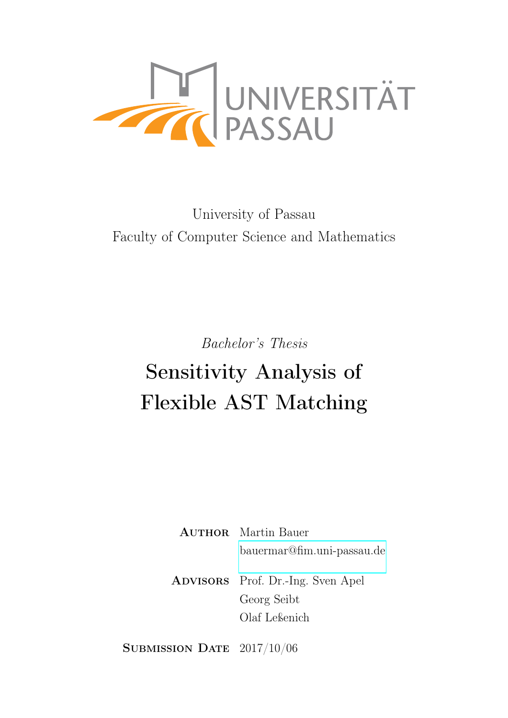

# University of Passau Faculty of Computer Science and Mathematics

Bachelor's Thesis

# Sensitivity Analysis of Flexible AST Matching

**AUTHOR** Martin Bauer [bauermar@fim.uni-passau.de](mailto:bauermar@fim.uni-passau.de)

Advisors Prof. Dr.-Ing. Sven Apel Georg Seibt Olaf Leßenich

SUBMISSION DATE 2017/10/06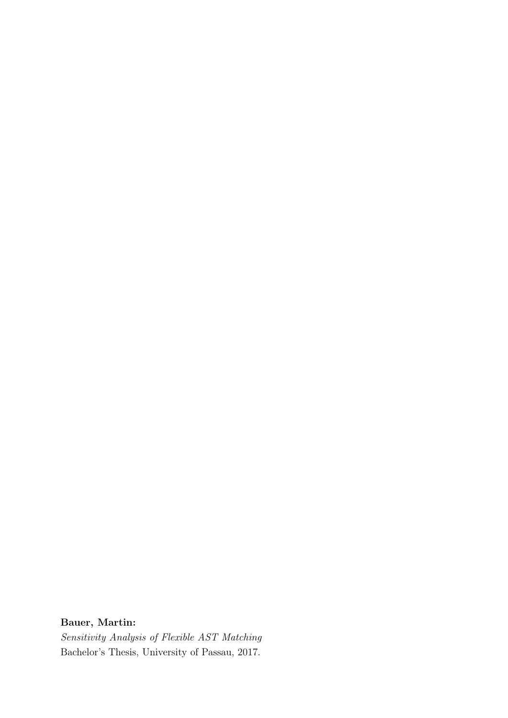#### Bauer, Martin:

Sensitivity Analysis of Flexible AST Matching Bachelor's Thesis, University of Passau, 2017.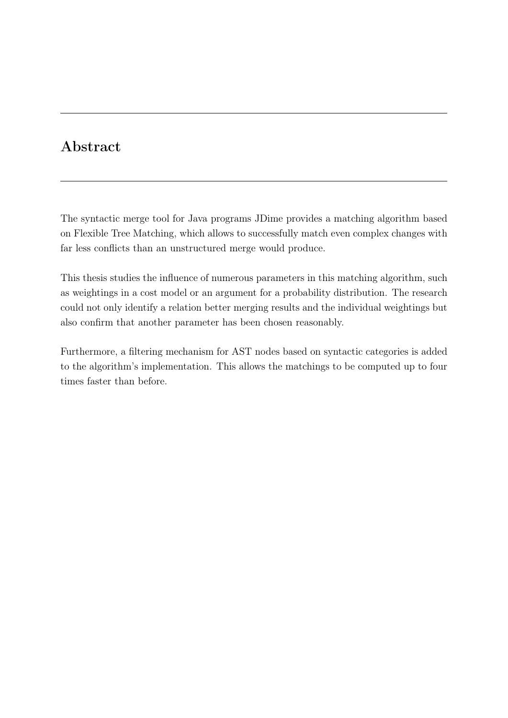# Abstract

The syntactic merge tool for Java programs JDime provides a matching algorithm based on Flexible Tree Matching, which allows to successfully match even complex changes with far less conflicts than an unstructured merge would produce.

This thesis studies the influence of numerous parameters in this matching algorithm, such as weightings in a cost model or an argument for a probability distribution. The research could not only identify a relation better merging results and the individual weightings but also confirm that another parameter has been chosen reasonably.

Furthermore, a filtering mechanism for AST nodes based on syntactic categories is added to the algorithm's implementation. This allows the matchings to be computed up to four times faster than before.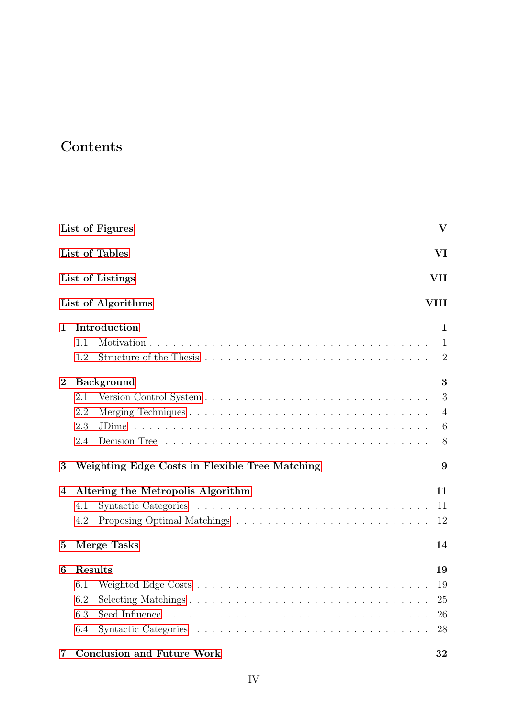# Contents

|                         |         | List of Figures                                | $\overline{\mathbf{V}}$ |
|-------------------------|---------|------------------------------------------------|-------------------------|
|                         |         | List of Tables                                 | VI                      |
|                         |         | List of Listings                               | VII                     |
|                         |         | List of Algorithms                             | <b>VIII</b>             |
| 1                       |         | Introduction                                   | 1                       |
|                         | 1.1     |                                                | 1                       |
|                         | 1.2     |                                                | $\overline{2}$          |
| $\bf{2}$                |         | <b>Background</b>                              | 3                       |
|                         | 2.1     |                                                | 3                       |
|                         | 2.2     |                                                | 4                       |
|                         | 2.3     | JDime.                                         | $6\phantom{.}6$         |
|                         | 2.4     |                                                | 8                       |
| 3                       |         | Weighting Edge Costs in Flexible Tree Matching | 9                       |
| 4                       |         | Altering the Metropolis Algorithm              | 11                      |
|                         | 4.1     |                                                | 11                      |
|                         | 4.2     |                                                | 12                      |
| $\overline{5}$          |         | <b>Merge Tasks</b>                             | 14                      |
| 6                       | Results |                                                | 19                      |
|                         | 6.1     |                                                | 19                      |
|                         | 6.2     |                                                | 25                      |
|                         | 6.3     |                                                | 26                      |
|                         | 6.4     |                                                | 28                      |
| $\overline{\mathbf{7}}$ |         | <b>Conclusion and Future Work</b>              | 32                      |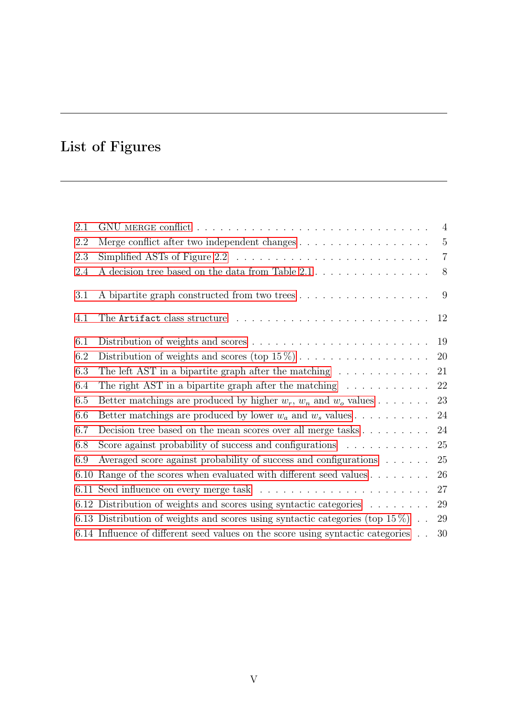# <span id="page-5-0"></span>List of Figures

| 2.1  |                                                                                       |                |
|------|---------------------------------------------------------------------------------------|----------------|
| 2.2  |                                                                                       | $-5$           |
| 2.3  |                                                                                       | $\overline{7}$ |
| 2.4  | A decision tree based on the data from Table $2.1 \ldots \ldots \ldots \ldots \ldots$ | 8              |
| 3.1  | A bipartite graph constructed from two trees                                          | $\overline{9}$ |
| 4.1  |                                                                                       | 12             |
| 6.1  |                                                                                       | 19             |
| 6.2  | Distribution of weights and scores (top $15\%$ )                                      | 20             |
| 6.3  | The left AST in a bipartite graph after the matching $\dots \dots \dots \dots$        | 21             |
| 6.4  | The right AST in a bipartite graph after the matching $\dots \dots \dots$             | 22             |
| 6.5  | Better matchings are produced by higher $w_r$ , $w_n$ and $w_o$ values                | 23             |
| 6.6  | Better matchings are produced by lower $w_a$ and $w_s$ values                         | 24             |
| 6.7  |                                                                                       | 24             |
| 6.8  | Score against probability of success and configurations $\ldots \ldots \ldots$        | 25             |
| 6.9  | Averaged score against probability of success and configurations                      | 25             |
| 6.10 | Range of the scores when evaluated with different seed values                         | 26             |
|      |                                                                                       | 27             |
|      | 6.12 Distribution of weights and scores using syntactic categories                    | 29             |
|      | 6.13 Distribution of weights and scores using syntactic categories (top $15\%$ ).     | 29             |
|      | 6.14 Influence of different seed values on the score using syntactic categories       | 30             |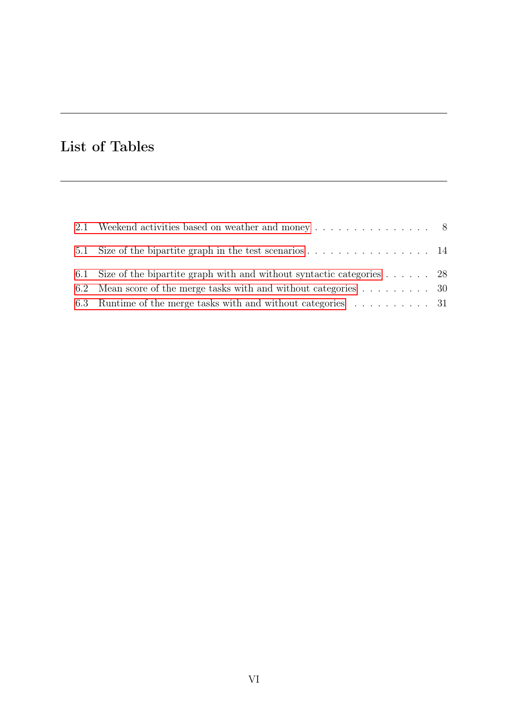# <span id="page-6-0"></span>List of Tables

| 2.1 Weekend activities based on weather and money 8                               |  |
|-----------------------------------------------------------------------------------|--|
|                                                                                   |  |
| 6.1 Size of the bipartite graph with and without syntactic categories $\ldots$ 28 |  |
| 6.2 Mean score of the merge tasks with and without categories  30                 |  |
| 6.3 Runtime of the merge tasks with and without categories 31                     |  |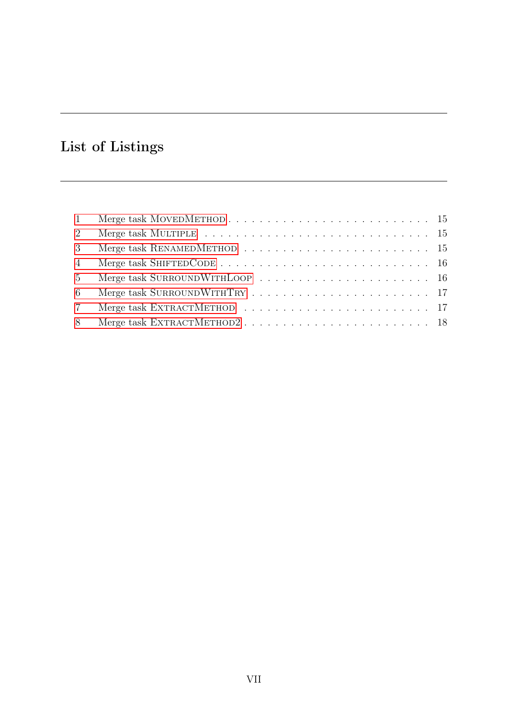# <span id="page-7-0"></span>List of Listings

| 2               | Merge task MULTIPLE $\ldots \ldots \ldots \ldots \ldots \ldots \ldots \ldots \ldots \ldots \ldots \ldots 15$ |  |
|-----------------|--------------------------------------------------------------------------------------------------------------|--|
| $\mathcal{E}$   | Merge task RENAMEDMETHOD $\ldots \ldots \ldots \ldots \ldots \ldots \ldots \ldots \ldots \ldots 15$          |  |
| $\overline{4}$  |                                                                                                              |  |
| $5^{\circ}$     |                                                                                                              |  |
| 6               |                                                                                                              |  |
| $7\overline{ }$ |                                                                                                              |  |
| 8               |                                                                                                              |  |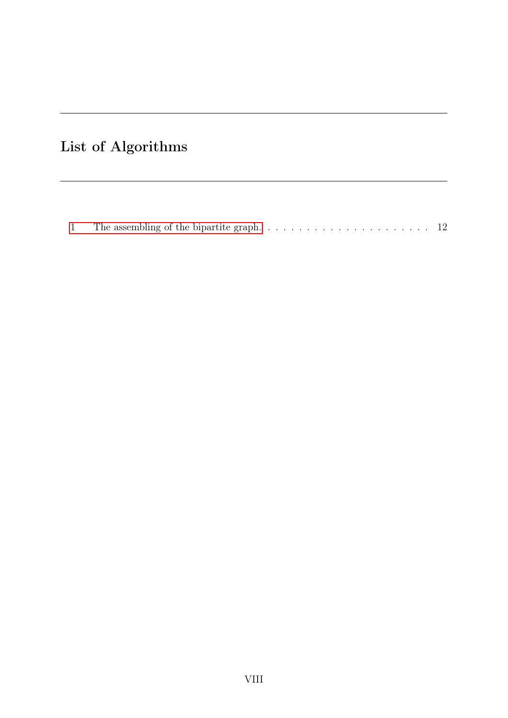# <span id="page-8-0"></span>List of Algorithms

|--|--|--|--|--|--|--|--|--|--|--|--|--|--|--|--|--|--|--|--|--|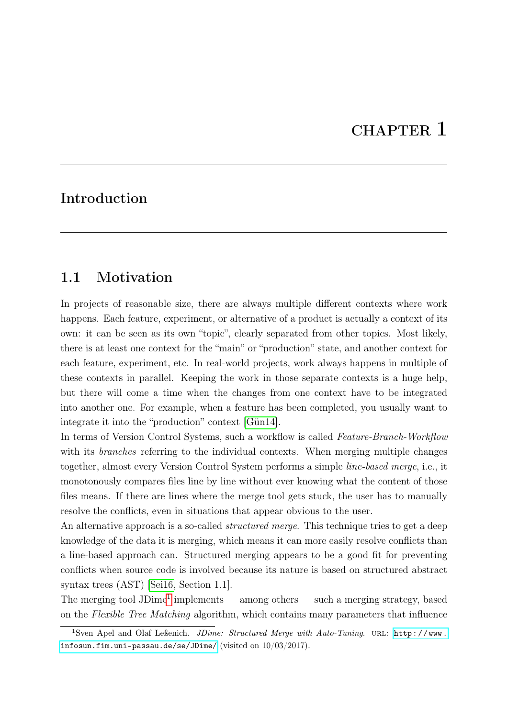# CHAPTER 1

# <span id="page-9-0"></span>Introduction

#### <span id="page-9-1"></span>1.1 Motivation

In projects of reasonable size, there are always multiple different contexts where work happens. Each feature, experiment, or alternative of a product is actually a context of its own: it can be seen as its own "topic", clearly separated from other topics. Most likely, there is at least one context for the "main" or "production" state, and another context for each feature, experiment, etc. In real-world projects, work always happens in multiple of these contexts in parallel. Keeping the work in those separate contexts is a huge help, but there will come a time when the changes from one context have to be integrated into another one. For example, when a feature has been completed, you usually want to integrate it into the "production" context [\[Gün14\]](#page-42-0).

In terms of Version Control Systems, such a workflow is called Feature-Branch-Workflow with its *branches* referring to the individual contexts. When merging multiple changes together, almost every Version Control System performs a simple line-based merge, i.e., it monotonously compares files line by line without ever knowing what the content of those files means. If there are lines where the merge tool gets stuck, the user has to manually resolve the conflicts, even in situations that appear obvious to the user.

An alternative approach is a so-called *structured merge*. This technique tries to get a deep knowledge of the data it is merging, which means it can more easily resolve conflicts than a line-based approach can. Structured merging appears to be a good fit for preventing conflicts when source code is involved because its nature is based on structured abstract syntax trees (AST) [\[Sei16,](#page-43-0) Section 1.1].

The merging tool JDime<sup>[1](#page-9-2)</sup> implements — among others — such a merging strategy, based on the Flexible Tree Matching algorithm, which contains many parameters that influence

<span id="page-9-2"></span><sup>&</sup>lt;sup>1</sup>Sven Apel and Olaf Leßenich. *JDime: Structured Merge with Auto-Tuning*. URL: [http://www.](http://www.infosun.fim.uni-passau.de/se/JDime/) [infosun.fim.uni-passau.de/se/JDime/](http://www.infosun.fim.uni-passau.de/se/JDime/) (visited on 10/03/2017).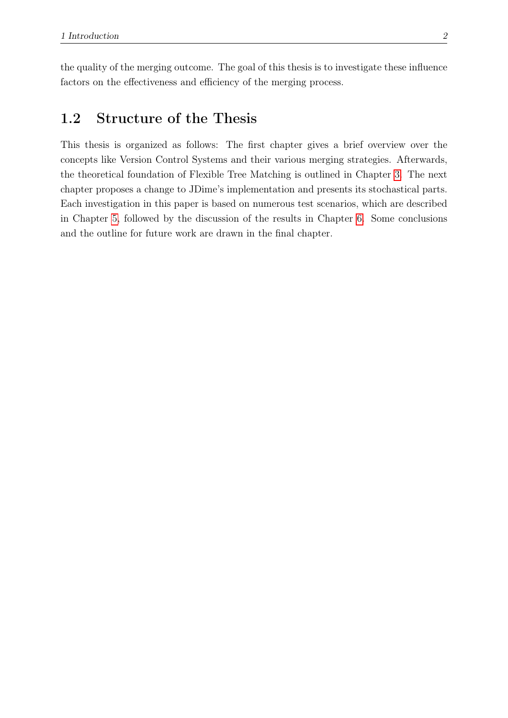the quality of the merging outcome. The goal of this thesis is to investigate these influence factors on the effectiveness and efficiency of the merging process.

### <span id="page-10-0"></span>1.2 Structure of the Thesis

This thesis is organized as follows: The first chapter gives a brief overview over the concepts like Version Control Systems and their various merging strategies. Afterwards, the theoretical foundation of Flexible Tree Matching is outlined in Chapter [3.](#page-17-0) The next chapter proposes a change to JDime's implementation and presents its stochastical parts. Each investigation in this paper is based on numerous test scenarios, which are described in Chapter [5,](#page-22-0) followed by the discussion of the results in Chapter [6.](#page-27-0) Some conclusions and the outline for future work are drawn in the final chapter.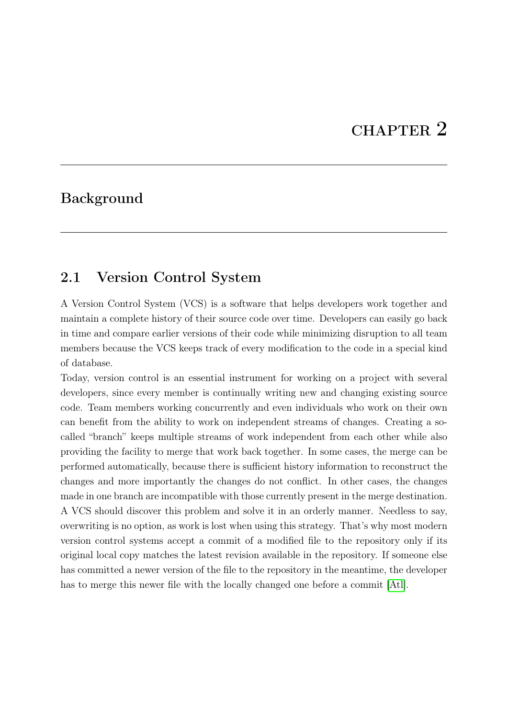# CHAPTER 2

### <span id="page-11-0"></span>Background

#### <span id="page-11-1"></span>2.1 Version Control System

A Version Control System (VCS) is a software that helps developers work together and maintain a complete history of their source code over time. Developers can easily go back in time and compare earlier versions of their code while minimizing disruption to all team members because the VCS keeps track of every modification to the code in a special kind of database.

Today, version control is an essential instrument for working on a project with several developers, since every member is continually writing new and changing existing source code. Team members working concurrently and even individuals who work on their own can benefit from the ability to work on independent streams of changes. Creating a socalled "branch" keeps multiple streams of work independent from each other while also providing the facility to merge that work back together. In some cases, the merge can be performed automatically, because there is sufficient history information to reconstruct the changes and more importantly the changes do not conflict. In other cases, the changes made in one branch are incompatible with those currently present in the merge destination. A VCS should discover this problem and solve it in an orderly manner. Needless to say, overwriting is no option, as work is lost when using this strategy. That's why most modern version control systems accept a commit of a modified file to the repository only if its original local copy matches the latest revision available in the repository. If someone else has committed a newer version of the file to the repository in the meantime, the developer has to merge this newer file with the locally changed one before a commit [\[Atl\]](#page-42-1).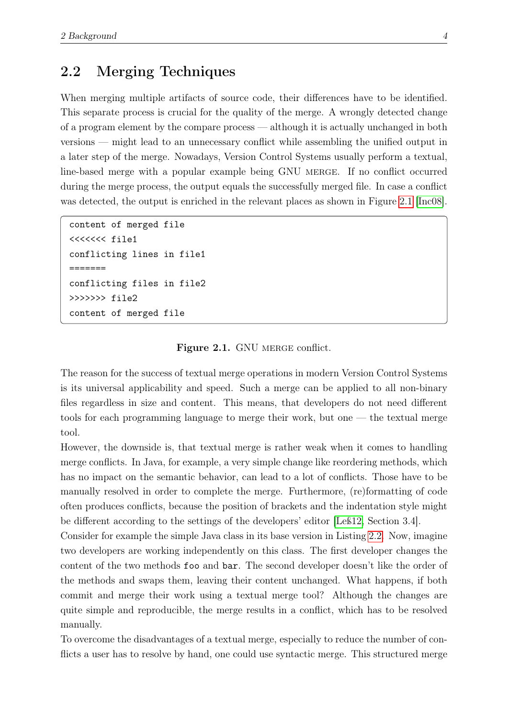#### <span id="page-12-0"></span>2.2 Merging Techniques

When merging multiple artifacts of source code, their differences have to be identified. This separate process is crucial for the quality of the merge. A wrongly detected change of a program element by the compare process — although it is actually unchanged in both versions — might lead to an unnecessary conflict while assembling the unified output in a later step of the merge. Nowadays, Version Control Systems usually perform a textual, line-based merge with a popular example being GNU MERGE. If no conflict occurred during the merge process, the output equals the successfully merged file. In case a conflict was detected, the output is enriched in the relevant places as shown in Figure [2.1](#page-12-1) [\[Inc08\]](#page-42-2).

```
content of merged file
<<<<<<< file1
conflicting lines in file1
=======
conflicting files in file2
>>>>>>> file2
content of merged file
```
#### Figure 2.1. GNU MERGE conflict.

The reason for the success of textual merge operations in modern Version Control Systems is its universal applicability and speed. Such a merge can be applied to all non-binary files regardless in size and content. This means, that developers do not need different tools for each programming language to merge their work, but one — the textual merge tool.

However, the downside is, that textual merge is rather weak when it comes to handling merge conflicts. In Java, for example, a very simple change like reordering methods, which has no impact on the semantic behavior, can lead to a lot of conflicts. Those have to be manually resolved in order to complete the merge. Furthermore, (re)formatting of code often produces conflicts, because the position of brackets and the indentation style might be different according to the settings of the developers' editor [\[Leß12,](#page-43-1) Section 3.4].

Consider for example the simple Java class in its base version in Listing [2.2.](#page-13-0) Now, imagine two developers are working independently on this class. The first developer changes the content of the two methods foo and bar. The second developer doesn't like the order of the methods and swaps them, leaving their content unchanged. What happens, if both commit and merge their work using a textual merge tool? Although the changes are quite simple and reproducible, the merge results in a conflict, which has to be resolved manually.

To overcome the disadvantages of a textual merge, especially to reduce the number of conflicts a user has to resolve by hand, one could use syntactic merge. This structured merge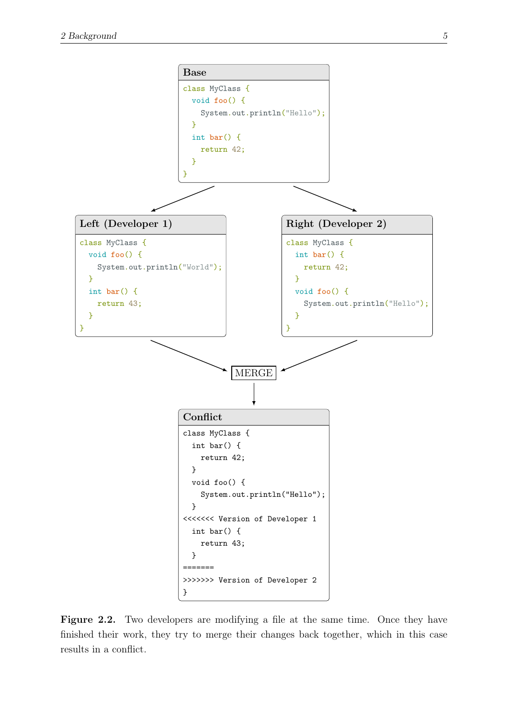<span id="page-13-0"></span>

Figure 2.2. Two developers are modifying a file at the same time. Once they have finished their work, they try to merge their changes back together, which in this case results in a conflict.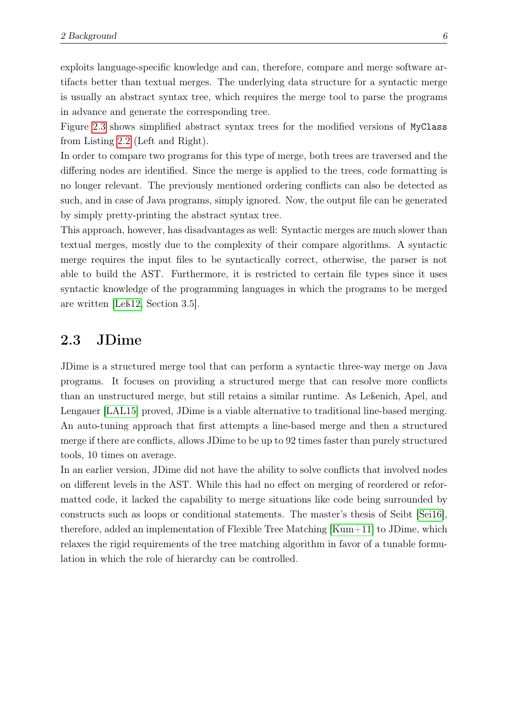exploits language-specific knowledge and can, therefore, compare and merge software artifacts better than textual merges. The underlying data structure for a syntactic merge is usually an abstract syntax tree, which requires the merge tool to parse the programs in advance and generate the corresponding tree.

Figure [2.3](#page-15-0) shows simplified abstract syntax trees for the modified versions of MyClass from Listing [2.2](#page-13-0) (Left and Right).

In order to compare two programs for this type of merge, both trees are traversed and the differing nodes are identified. Since the merge is applied to the trees, code formatting is no longer relevant. The previously mentioned ordering conflicts can also be detected as such, and in case of Java programs, simply ignored. Now, the output file can be generated by simply pretty-printing the abstract syntax tree.

This approach, however, has disadvantages as well: Syntactic merges are much slower than textual merges, mostly due to the complexity of their compare algorithms. A syntactic merge requires the input files to be syntactically correct, otherwise, the parser is not able to build the AST. Furthermore, it is restricted to certain file types since it uses syntactic knowledge of the programming languages in which the programs to be merged are written [\[Leß12,](#page-43-1) Section 3.5].

#### <span id="page-14-0"></span>2.3 JDime

JDime is a structured merge tool that can perform a syntactic three-way merge on Java programs. It focuses on providing a structured merge that can resolve more conflicts than an unstructured merge, but still retains a similar runtime. As Leßenich, Apel, and Lengauer [\[LAL15\]](#page-42-3) proved, JDime is a viable alternative to traditional line-based merging. An auto-tuning approach that first attempts a line-based merge and then a structured merge if there are conflicts, allows JDime to be up to 92 times faster than purely structured tools, 10 times on average.

In an earlier version, JDime did not have the ability to solve conflicts that involved nodes on different levels in the AST. While this had no effect on merging of reordered or reformatted code, it lacked the capability to merge situations like code being surrounded by constructs such as loops or conditional statements. The master's thesis of Seibt [\[Sei16\]](#page-43-0), therefore, added an implementation of Flexible Tree Matching [\[Kum+11\]](#page-42-4) to JDime, which relaxes the rigid requirements of the tree matching algorithm in favor of a tunable formulation in which the role of hierarchy can be controlled.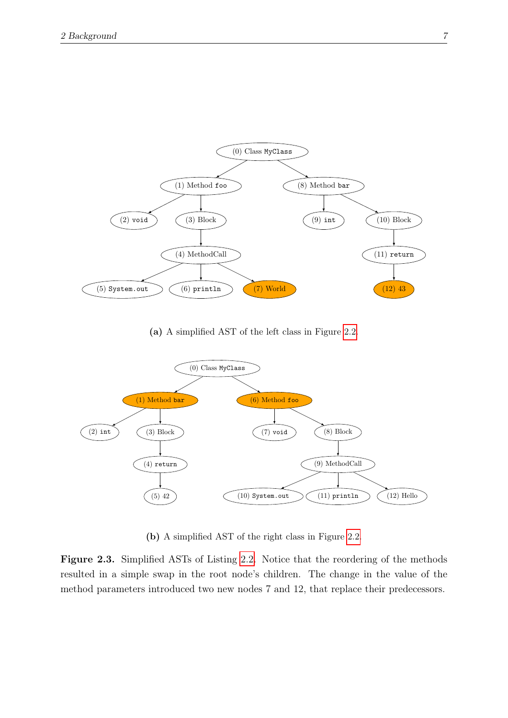<span id="page-15-0"></span>

(a) A simplified AST of the left class in Figure [2.2.](#page-13-0)



(b) A simplified AST of the right class in Figure [2.2.](#page-13-0)

Figure 2.3. Simplified ASTs of Listing [2.2.](#page-13-0) Notice that the reordering of the methods resulted in a simple swap in the root node's children. The change in the value of the method parameters introduced two new nodes 7 and 12, that replace their predecessors.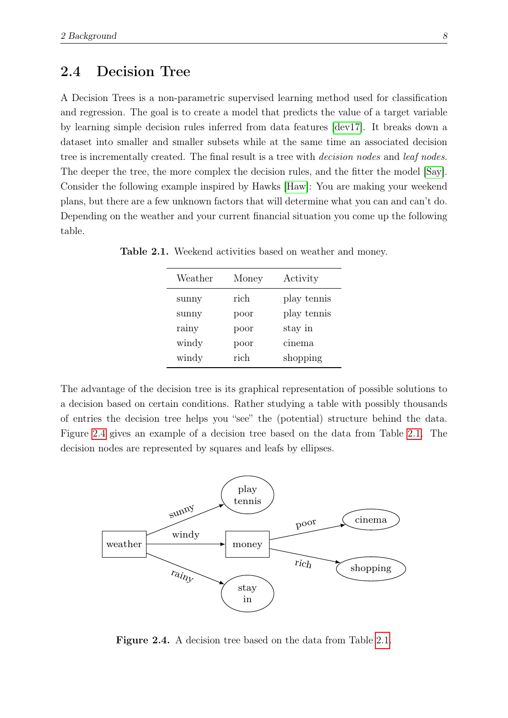#### <span id="page-16-0"></span>2.4 Decision Tree

A Decision Trees is a non-parametric supervised learning method used for classification and regression. The goal is to create a model that predicts the value of a target variable by learning simple decision rules inferred from data features [\[dev17\]](#page-42-5). It breaks down a dataset into smaller and smaller subsets while at the same time an associated decision tree is incrementally created. The final result is a tree with decision nodes and leaf nodes. The deeper the tree, the more complex the decision rules, and the fitter the model [\[Say\]](#page-43-2). Consider the following example inspired by Hawks [\[Haw\]](#page-42-6): You are making your weekend plans, but there are a few unknown factors that will determine what you can and can't do. Depending on the weather and your current financial situation you come up the following table.

| Weather | Money | Activity    |
|---------|-------|-------------|
| sunny   | rich  | play tennis |
| sunny   | poor  | play tennis |
| rainy   | poor  | stay in     |
| windy   | poor  | cinema      |
| windy   | rich  | shopping    |

<span id="page-16-2"></span>Table 2.1. Weekend activities based on weather and money.

The advantage of the decision tree is its graphical representation of possible solutions to a decision based on certain conditions. Rather studying a table with possibly thousands of entries the decision tree helps you "see" the (potential) structure behind the data. Figure [2.4](#page-16-1) gives an example of a decision tree based on the data from Table [2.1.](#page-16-2) The decision nodes are represented by squares and leafs by ellipses.

<span id="page-16-1"></span>

Figure 2.4. A decision tree based on the data from Table [2.1.](#page-16-2)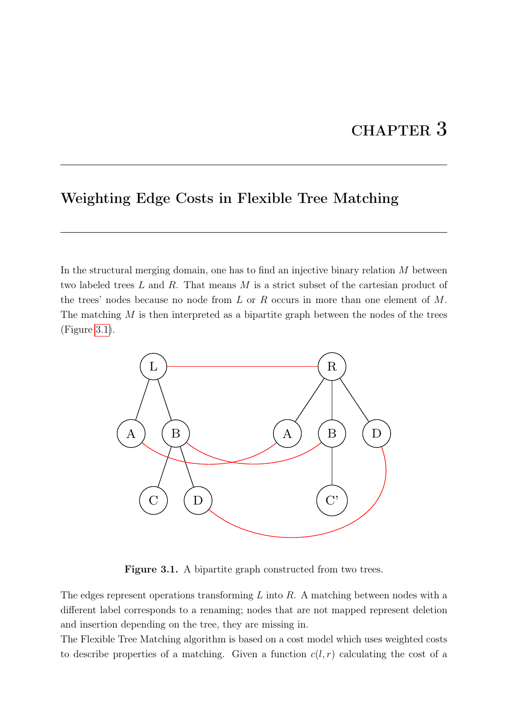# CHAPTER 3

# <span id="page-17-0"></span>Weighting Edge Costs in Flexible Tree Matching

In the structural merging domain, one has to find an injective binary relation M between two labeled trees L and R. That means M is a strict subset of the cartesian product of the trees' nodes because no node from  $L$  or  $R$  occurs in more than one element of  $M$ . The matching  $M$  is then interpreted as a bipartite graph between the nodes of the trees (Figure [3.1\)](#page-17-1).

<span id="page-17-1"></span>

Figure 3.1. A bipartite graph constructed from two trees.

The edges represent operations transforming  $L$  into  $R$ . A matching between nodes with a different label corresponds to a renaming; nodes that are not mapped represent deletion and insertion depending on the tree, they are missing in.

The Flexible Tree Matching algorithm is based on a cost model which uses weighted costs to describe properties of a matching. Given a function  $c(l, r)$  calculating the cost of a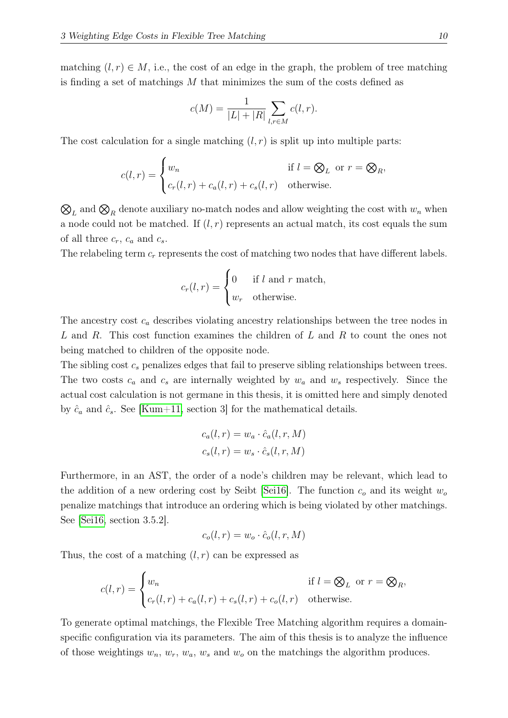matching  $(l, r) \in M$ , i.e., the cost of an edge in the graph, the problem of tree matching is finding a set of matchings  $M$  that minimizes the sum of the costs defined as

$$
c(M) = \frac{1}{|L| + |R|} \sum_{l,r \in M} c(l,r).
$$

The cost calculation for a single matching  $(l, r)$  is split up into multiple parts:

$$
c(l,r) = \begin{cases} w_n & \text{if } l = \bigotimes_L \text{ or } r = \bigotimes_R, \\ c_r(l,r) + c_a(l,r) + c_s(l,r) & \text{otherwise.} \end{cases}
$$

 $\mathcal{O}_L$  and  $\mathcal{O}_R$  denote auxiliary no-match nodes and allow weighting the cost with  $w_n$  when a node could not be matched. If  $(l, r)$  represents an actual match, its cost equals the sum of all three  $c_r$ ,  $c_a$  and  $c_s$ .

The relabeling term  $c_r$  represents the cost of matching two nodes that have different labels.

$$
c_r(l,r) = \begin{cases} 0 & \text{if } l \text{ and } r \text{ match,} \\ w_r & \text{otherwise.} \end{cases}
$$

The ancestry cost  $c_a$  describes violating ancestry relationships between the tree nodes in L and R. This cost function examines the children of L and R to count the ones not being matched to children of the opposite node.

The sibling cost  $c_s$  penalizes edges that fail to preserve sibling relationships between trees. The two costs  $c_a$  and  $c_s$  are internally weighted by  $w_a$  and  $w_s$  respectively. Since the actual cost calculation is not germane in this thesis, it is omitted here and simply denoted by  $\hat{c}_a$  and  $\hat{c}_s$ . See [\[Kum+11,](#page-42-4) section 3] for the mathematical details.

$$
c_a(l,r) = w_a \cdot \hat{c}_a(l,r,M)
$$
  

$$
c_s(l,r) = w_s \cdot \hat{c}_s(l,r,M)
$$

Furthermore, in an AST, the order of a node's children may be relevant, which lead to the addition of a new ordering cost by Seibt [\[Sei16\]](#page-43-0). The function  $c<sub>o</sub>$  and its weight  $w<sub>o</sub>$ penalize matchings that introduce an ordering which is being violated by other matchings. See [\[Sei16,](#page-43-0) section 3.5.2].

$$
c_o(l,r) = w_o \cdot \hat{c}_o(l,r,M)
$$

Thus, the cost of a matching  $(l, r)$  can be expressed as

$$
c(l,r) = \begin{cases} w_n & \text{if } l = \bigotimes_L \text{ or } r = \bigotimes_R, \\ c_r(l,r) + c_a(l,r) + c_s(l,r) + c_o(l,r) & \text{otherwise.} \end{cases}
$$

To generate optimal matchings, the Flexible Tree Matching algorithm requires a domainspecific configuration via its parameters. The aim of this thesis is to analyze the influence of those weightings  $w_n$ ,  $w_r$ ,  $w_a$ ,  $w_s$  and  $w_o$  on the matchings the algorithm produces.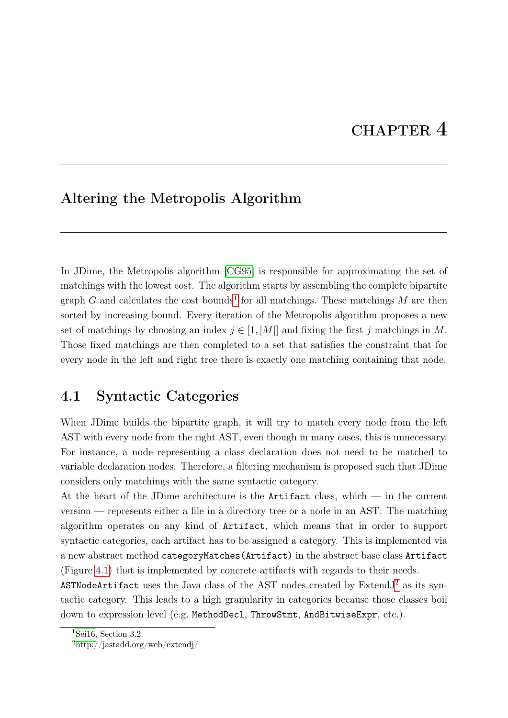### <span id="page-19-0"></span>Altering the Metropolis Algorithm

In JDime, the Metropolis algorithm [\[CG95\]](#page-42-7) is responsible for approximating the set of matchings with the lowest cost. The algorithm starts by assembling the complete bipartite graph G and calculates the cost bounds<sup>[1](#page-19-2)</sup> for all matchings. These matchings M are then sorted by increasing bound. Every iteration of the Metropolis algorithm proposes a new set of matchings by choosing an index  $j \in [1, |M|]$  and fixing the first j matchings in M. Those fixed matchings are then completed to a set that satisfies the constraint that for every node in the left and right tree there is exactly one matching containing that node.

### <span id="page-19-1"></span>4.1 Syntactic Categories

When JDime builds the bipartite graph, it will try to match every node from the left AST with every node from the right AST, even though in many cases, this is unnecessary. For instance, a node representing a class declaration does not need to be matched to variable declaration nodes. Therefore, a filtering mechanism is proposed such that JDime considers only matchings with the same syntactic category.

At the heart of the JDime architecture is the Artifact class, which  $-$  in the current version — represents either a file in a directory tree or a node in an AST. The matching algorithm operates on any kind of Artifact, which means that in order to support syntactic categories, each artifact has to be assigned a category. This is implemented via a new abstract method categoryMatches(Artifact) in the abstract base class Artifact (Figure [4.1\)](#page-20-1) that is implemented by concrete artifacts with regards to their needs.

ASTNodeArtifact uses the Java class of the AST nodes created by ExtendJ[2](#page-19-3) as its syntactic category. This leads to a high granularity in categories because those classes boil down to expression level (e.g. MethodDecl, ThrowStmt, AndBitwiseExpr, etc.).

<span id="page-19-3"></span><span id="page-19-2"></span><sup>&</sup>lt;sup>1</sup>[Sei16,](#page-43-0) Section 3.2.

<sup>2</sup>http://jastadd.org/web/extendj/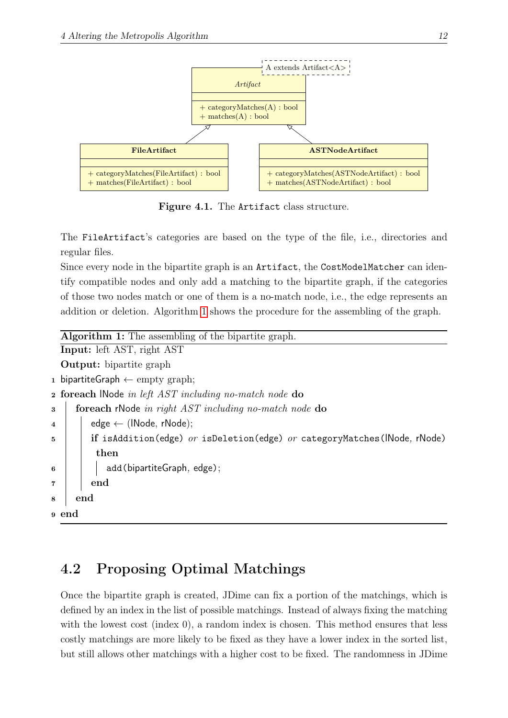<span id="page-20-1"></span>

Figure 4.1. The Artifact class structure.

The FileArtifact's categories are based on the type of the file, i.e., directories and regular files.

Since every node in the bipartite graph is an **Artifact**, the CostModelMatcher can identify compatible nodes and only add a matching to the bipartite graph, if the categories of those two nodes match or one of them is a no-match node, i.e., the edge represents an addition or deletion. Algorithm [1](#page-20-2) shows the procedure for the assembling of the graph.

```
Algorithm 1: The assembling of the bipartite graph.
  Input: left AST, right AST
  Output: bipartite graph
1 bipartiteGraph ← empty graph;
2 foreach lNode in left AST including no-match node do
3 foreach rNode in right AST including no-match node do
4 \mid edge \leftarrow (INode, rNode);
5 if isAddition(edge) or isDeletion(edge) or categoryMatches(INode, rNode)
          then
\begin{array}{c|c|c|c} 6 & | & | & \n\end{array} add (bipartite Graph, edge);
7 \mid end
8 end
9 end
```
# <span id="page-20-2"></span><span id="page-20-0"></span>4.2 Proposing Optimal Matchings

Once the bipartite graph is created, JDime can fix a portion of the matchings, which is defined by an index in the list of possible matchings. Instead of always fixing the matching with the lowest cost (index 0), a random index is chosen. This method ensures that less costly matchings are more likely to be fixed as they have a lower index in the sorted list, but still allows other matchings with a higher cost to be fixed. The randomness in JDime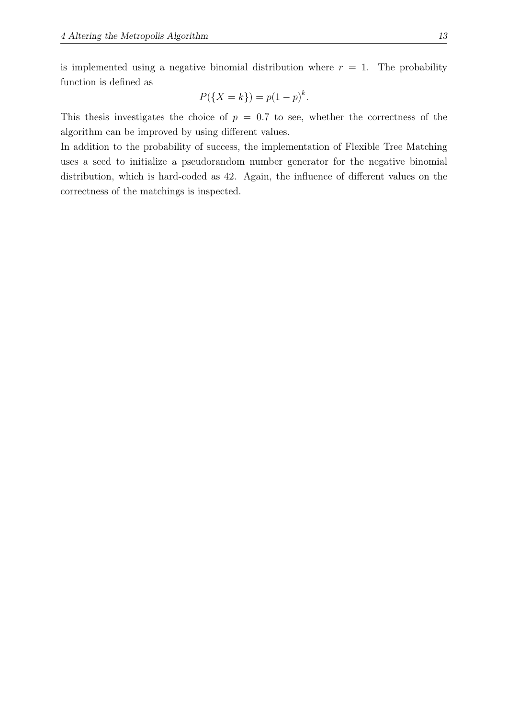is implemented using a negative binomial distribution where  $r = 1$ . The probability function is defined as

$$
P({X = k}) = p(1 - p)^{k}.
$$

This thesis investigates the choice of  $p = 0.7$  to see, whether the correctness of the algorithm can be improved by using different values.

In addition to the probability of success, the implementation of Flexible Tree Matching uses a seed to initialize a pseudorandom number generator for the negative binomial distribution, which is hard-coded as 42. Again, the influence of different values on the correctness of the matchings is inspected.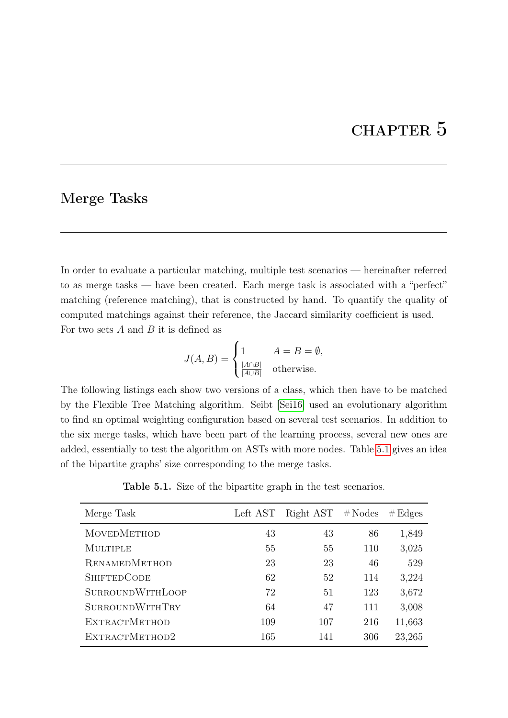# CHAPTER 5

#### <span id="page-22-0"></span>Merge Tasks

In order to evaluate a particular matching, multiple test scenarios — hereinafter referred to as merge tasks — have been created. Each merge task is associated with a "perfect" matching (reference matching), that is constructed by hand. To quantify the quality of computed matchings against their reference, the Jaccard similarity coefficient is used. For two sets  $A$  and  $B$  it is defined as

$$
J(A, B) = \begin{cases} 1 & A = B = \emptyset, \\ \frac{|A \cap B|}{|A \cup B|} & \text{otherwise.} \end{cases}
$$

The following listings each show two versions of a class, which then have to be matched by the Flexible Tree Matching algorithm. Seibt [\[Sei16\]](#page-43-0) used an evolutionary algorithm to find an optimal weighting configuration based on several test scenarios. In addition to the six merge tasks, which have been part of the learning process, several new ones are added, essentially to test the algorithm on ASTs with more nodes. Table [5.1](#page-22-1) gives an idea of the bipartite graphs' size corresponding to the merge tasks.

Table 5.1. Size of the bipartite graph in the test scenarios.

<span id="page-22-1"></span>

| Merge Task              | Left AST | Right AST | $#$ Nodes | # Edges |
|-------------------------|----------|-----------|-----------|---------|
| <b>MOVEDMETHOD</b>      | 43       | 43        | 86        | 1,849   |
| MULTIPLE                | 55       | 55        | 110       | 3,025   |
| <b>RENAMEDMETHOD</b>    | 23       | 23        | 46        | 529     |
| <b>SHIFTEDCODE</b>      | 62       | 52        | 114       | 3,224   |
| <b>SURROUNDWITHLOOP</b> | 72       | 51        | 123       | 3,672   |
| <b>SURROUNDWITHTRY</b>  | 64       | 47        | 111       | 3,008   |
| <b>EXTRACTMETHOD</b>    | 109      | 107       | 216       | 11,663  |
| EXTRACTMETHOD2          | 165      | 141       | 306       | 23,265  |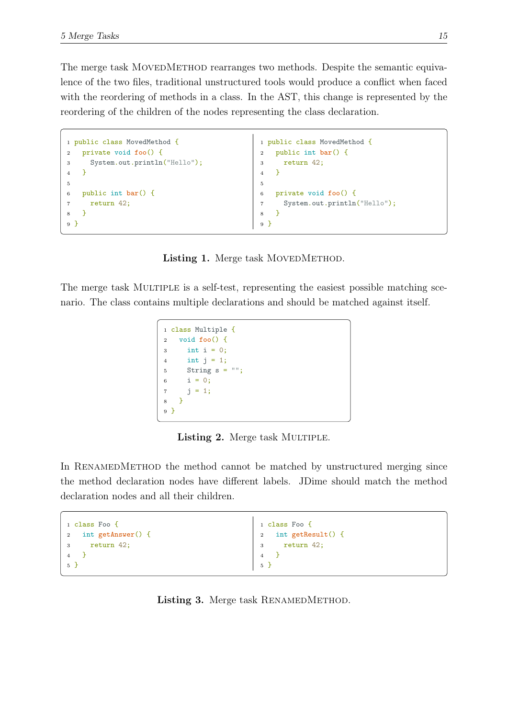The merge task MOVEDMETHOD rearranges two methods. Despite the semantic equivalence of the two files, traditional unstructured tools would produce a conflict when faced with the reordering of methods in a class. In the AST, this change is represented by the reordering of the children of the nodes representing the class declaration.

```
1 public class MovedMethod {
2 private void foo() {
3 System.out.println("Hello");
4 }
5
6 public int bar() {
7 return 42;
8 }
9 }
                                            1 public class MovedMethod {
                                            2 public int bar() {
                                            3 return 42;
                                            4 }
                                            5
                                            6 private void foo() {
                                            7 System.out.println("Hello");
                                            8 }
                                            9 }
```
Listing 1. Merge task MOVEDMETHOD.

<span id="page-23-1"></span>The merge task MULTIPLE is a self-test, representing the easiest possible matching scenario. The class contains multiple declarations and should be matched against itself.

```
1 class Multiple {
2 void foo() {
3 int i = 0;4 int j = 1;
5 String s = "6 i = 0;7 \t j = 1;8 }
9 }
```
Listing 2. Merge task MULTIPLE.

In RENAMEDMETHOD the method cannot be matched by unstructured merging since the method declaration nodes have different labels. JDime should match the method declaration nodes and all their children.

```
1 class Foo {
2 int getAnswer() {
3 return 42;
4 }
5 }
                                           1 class Foo {
                                           2 int getResult() {
                                           3 return 42;
                                           4 }
                                           5 }
```
#### Listing 3. Merge task RENAMEDMETHOD.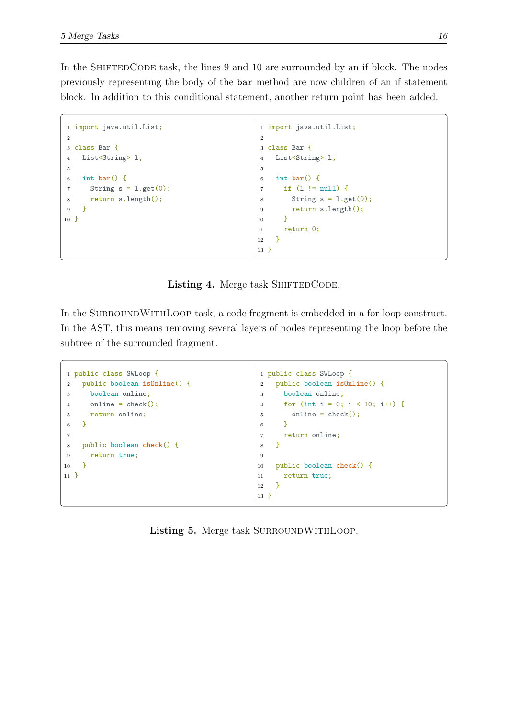In the SHIFTEDCODE task, the lines 9 and 10 are surrounded by an if block. The nodes previously representing the body of the bar method are now children of an if statement block. In addition to this conditional statement, another return point has been added.

```
1 import java.util.List;
2
3 class Bar {
4 List<String> l;
5
6 int bar() {
7 String s = 1.get(0);8 return s.length();
9 }
10 }
                                             1 import java.util.List;
                                             2
                                             3 class Bar {
                                             4 List<String> l;
                                             5
                                             6 int bar() {
                                             7 if (l != null) {
                                             8 String s = 1.get(0);9 return s.length();
                                            10 }
                                            11 return 0;
                                            12 \frac{}{}13 }
```
Listing 4. Merge task SHIFTEDCODE.

In the SURROUNDWITHLOOP task, a code fragment is embedded in a for-loop construct. In the AST, this means removing several layers of nodes representing the loop before the subtree of the surrounded fragment.

```
1 public class SWLoop {
2 public boolean isOnline() {
3 boolean online;
4 online = check();
5 return online;
6 }
7
8 public boolean check() {
9 return true;
10 }
11 }
                                             1 public class SWLoop {
                                             2 public boolean isOnline() {
                                             3 boolean online;
                                             4 for (int i = 0; i < 10; i++) {
                                            5 online = check();
                                             6 }
                                            7 return online;
                                            8 }
                                            \overline{9}10 public boolean check() {
                                            11 return true;
                                            12 }
                                            13 }
```
Listing 5. Merge task SURROUNDWITHLOOP.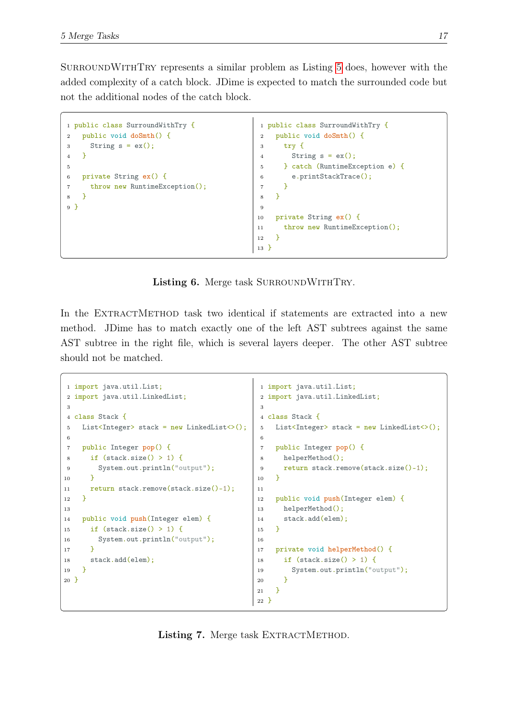SurroundWithTry represents a similar problem as Listing [5](#page-24-1) does, however with the added complexity of a catch block. JDime is expected to match the surrounded code but not the additional nodes of the catch block.

```
1 public class SurroundWithTry {
2 public void doSmth() {
3 String s = ex();
4 }
5
6 private String ex() {
7 throw new RuntimeException();
8 }
9 }
                                             1 public class SurroundWithTry {
                                             2 public void doSmth() {
                                             3 try {
                                             4 String s = ex();
                                             5 } catch (RuntimeException e) {
                                             6 e.printStackTrace();
                                             7 }
                                             8 }
                                             \alpha10 private String ex() {
                                            11 throw new RuntimeException();
                                            12 \frac{1}{2}13 }
```
Listing 6. Merge task SURROUNDWITHTRY.

In the EXTRACTMETHOD task two identical if statements are extracted into a new method. JDime has to match exactly one of the left AST subtrees against the same AST subtree in the right file, which is several layers deeper. The other AST subtree should not be matched.

```
1 import java.util.List;
2 import java.util.LinkedList;
3
4 class Stack {
5 List<Integer> stack = new LinkedList<>();
6
7 public Integer pop() {
8 if (stack.size() > 1) {
9 System.out.println("output");
10 }
11 return stack.remove(stack.size()-1);
12 \frac{1}{2}13
14 public void push(Integer elem) {
15 if (\text{stack.size}() > 1) {
16 System.out.println("output");
17 \frac{1}{2}18 stack.add(elem);
19 }
20 }
                                               1 import java.util.List;
                                               2 import java.util.LinkedList;
                                               3
                                              4 class Stack {
                                               5 List<Integer> stack = new LinkedList<>();
                                               6
                                              7 public Integer pop() {
                                              8 helperMethod();
                                              9 return stack.remove(stack.size()-1);
                                              10 }
                                              11
                                              12 public void push(Integer elem) {
                                              13 helperMethod();
                                              14 stack.add(elem);
                                              15 }
                                              16
                                              17 private void helperMethod() {
                                              18 if (stack.size() > 1) {
                                              19 System.out.println("output");
                                              20 }
                                              21 }
                                              22 }
```
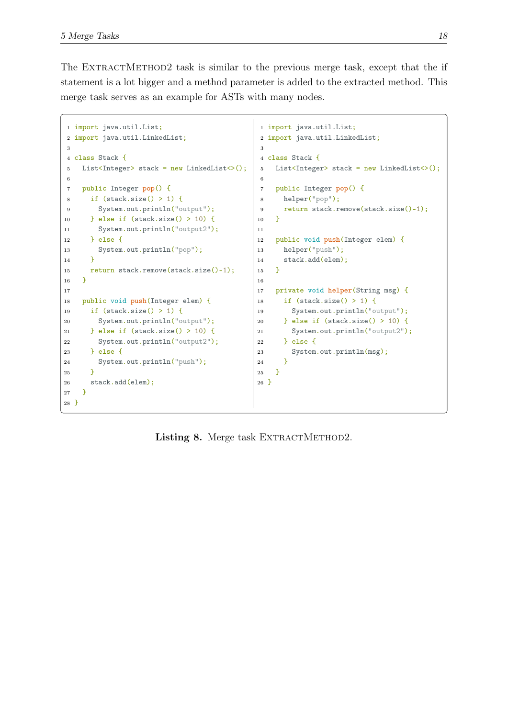The EXTRACTMETHOD2 task is similar to the previous merge task, except that the if statement is a lot bigger and a method parameter is added to the extracted method. This merge task serves as an example for ASTs with many nodes.

```
1 import java.util.List;
2 import java.util.LinkedList;
3
4 class Stack {
5 List<Integer> stack = new LinkedList<>();
6
7 public Integer pop() {
8 if (\text{stack.size}() > 1) {
9 System.out.println("output");
10 } else if (stack.size() > 10) {
11 System.out.println("output2");
12 } else {
13 System.out.println("pop");
14 }
15 return stack.remove(stack.size()-1);
16 }
17
18 public void push(Integer elem) {
19 if (stack.size() > 1) {
20 System.out.println("output");
21 } else if (stack.size() > 10) {
22 System.out.println("output2");
23 } else {
24 System.out.println("push");
25 }
26 stack.add(elem);
27 }
28 }
                                             1 import java.util.List;
                                            2 import java.util.LinkedList;
                                            3
                                            4 class Stack {
                                            5 List<Integer> stack = new LinkedList<>();
                                            6
                                            7 public Integer pop() {
                                            8 helper("pop");
                                            9 return stack.remove(stack.size()-1);
                                            10 }
                                            11
                                            12 public void push(Integer elem) {
                                            13 helper("push");
                                            14 stack.add(elem);
                                            15 }
                                            16
                                            17 private void helper(String msg) {
                                            18 if (stack.size() > 1) {
                                            19 System.out.println("output");
                                            20 } else if (stack.size() > 10) {
                                            21 System.out.println("output2");
                                            22 } else {
                                            23 System.out.println(msg);
                                            24 }
                                            25 }
                                            26 }
```
Listing 8. Merge task EXTRACTMETHOD2.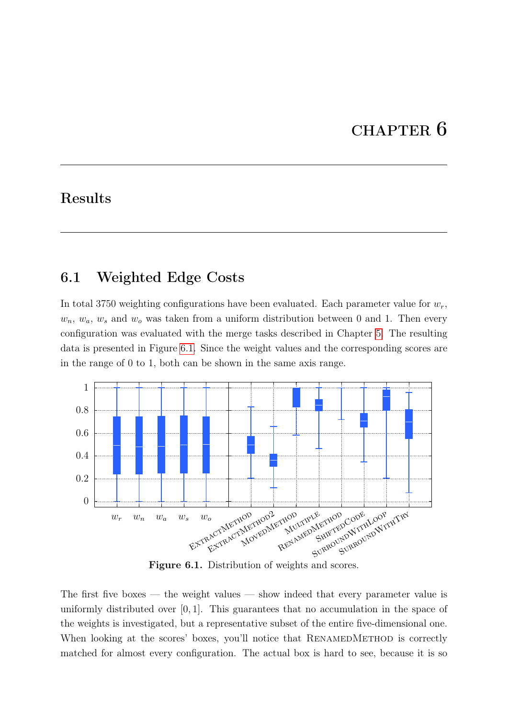# CHAPTER 6

# <span id="page-27-0"></span>Results

# <span id="page-27-1"></span>6.1 Weighted Edge Costs

In total 3750 weighting configurations have been evaluated. Each parameter value for  $w_r$ ,  $w_n, w_a, w_s$  and  $w_o$  was taken from a uniform distribution between 0 and 1. Then every configuration was evaluated with the merge tasks described in Chapter [5.](#page-22-0) The resulting data is presented in Figure [6.1.](#page-27-2) Since the weight values and the corresponding scores are in the range of 0 to 1, both can be shown in the same axis range.

<span id="page-27-2"></span>

Figure 6.1. Distribution of weights and scores.

The first five boxes — the weight values — show indeed that every parameter value is uniformly distributed over  $[0, 1]$ . This guarantees that no accumulation in the space of the weights is investigated, but a representative subset of the entire five-dimensional one. When looking at the scores' boxes, you'll notice that RENAMEDMETHOD is correctly matched for almost every configuration. The actual box is hard to see, because it is so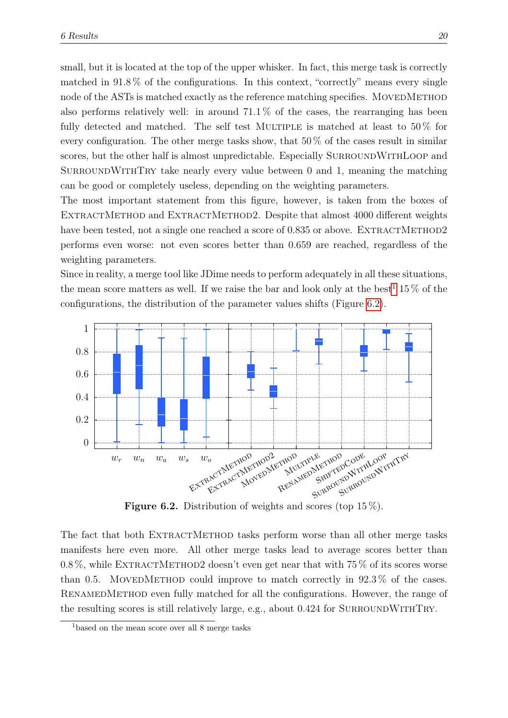small, but it is located at the top of the upper whisker. In fact, this merge task is correctly matched in  $91.8\%$  of the configurations. In this context, "correctly" means every single node of the ASTs is matched exactly as the reference matching specifies. MOVEDMETHOD also performs relatively well: in around  $71.1\%$  of the cases, the rearranging has been fully detected and matched. The self test MULTIPLE is matched at least to  $50\%$  for every configuration. The other merge tasks show, that  $50\%$  of the cases result in similar scores, but the other half is almost unpredictable. Especially SURROUNDWITHLOOP and SURROUNDWITHTRY take nearly every value between  $0$  and  $1$ , meaning the matching can be good or completely useless, depending on the weighting parameters.

The most important statement from this figure, however, is taken from the boxes of EXTRACTMETHOD and EXTRACTMETHOD2. Despite that almost 4000 different weights have been tested, not a single one reached a score of  $0.835$  or above. EXTRACTMETHOD2 performs even worse: not even scores better than 0.659 are reached, regardless of the weighting parameters.

Since in reality, a merge tool like JDime needs to perform adequately in all these situations, the mean score matters as well. If we raise the bar and look only at the best<sup>[1](#page-28-1)</sup> 15  $\%$  of the configurations, the distribution of the parameter values shifts (Figure [6.2\)](#page-28-0).

<span id="page-28-0"></span>

Figure 6.2. Distribution of weights and scores (top 15%).

The fact that both EXTRACTMETHOD tasks perform worse than all other merge tasks manifests here even more. All other merge tasks lead to average scores better than 0.8%, while EXTRACTMETHOD2 doesn't even get near that with  $75\%$  of its scores worse than 0.5. MOVEDMETHOD could improve to match correctly in  $92.3\%$  of the cases. RENAMEDMETHOD even fully matched for all the configurations. However, the range of the resulting scores is still relatively large, e.g., about 0.424 for SURROUNDWITHTRY.

<span id="page-28-1"></span><sup>&</sup>lt;sup>1</sup>based on the mean score over all 8 merge tasks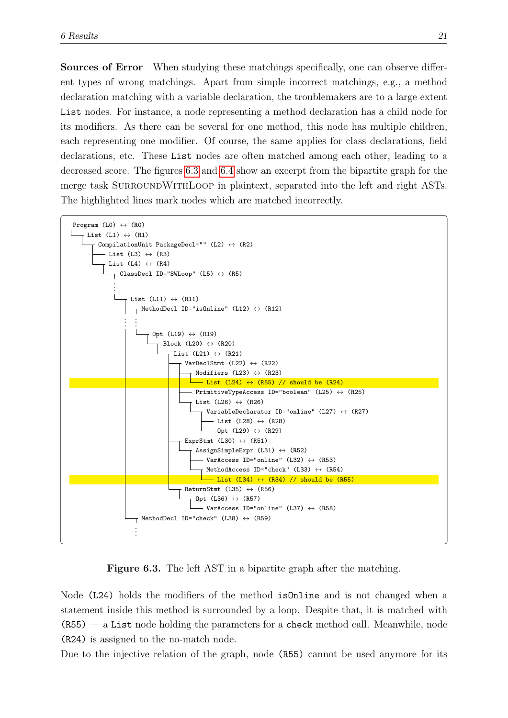Sources of Error When studying these matchings specifically, one can observe different types of wrong matchings. Apart from simple incorrect matchings, e.g., a method declaration matching with a variable declaration, the troublemakers are to a large extent List nodes. For instance, a node representing a method declaration has a child node for its modifiers. As there can be several for one method, this node has multiple children, each representing one modifier. Of course, the same applies for class declarations, field declarations, etc. These List nodes are often matched among each other, leading to a decreased score. The figures [6.3](#page-29-0) and [6.4](#page-30-0) show an excerpt from the bipartite graph for the merge task SURROUNDWITHLOOP in plaintext, separated into the left and right ASTs. The highlighted lines mark nodes which are matched incorrectly.

<span id="page-29-0"></span>

Figure 6.3. The left AST in a bipartite graph after the matching.

Node (L24) holds the modifiers of the method isOnline and is not changed when a statement inside this method is surrounded by a loop. Despite that, it is matched with  $(R55)$  — a List node holding the parameters for a check method call. Meanwhile, node (R24) is assigned to the no-match node.

Due to the injective relation of the graph, node (R55) cannot be used anymore for its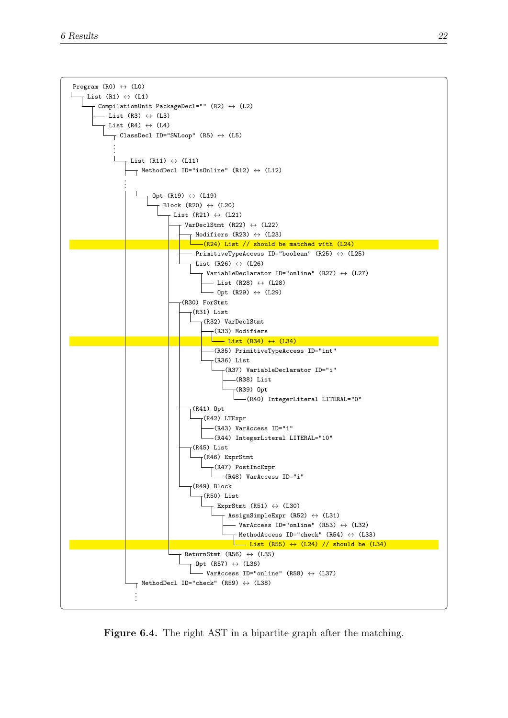<span id="page-30-0"></span>

Figure 6.4. The right AST in a bipartite graph after the matching.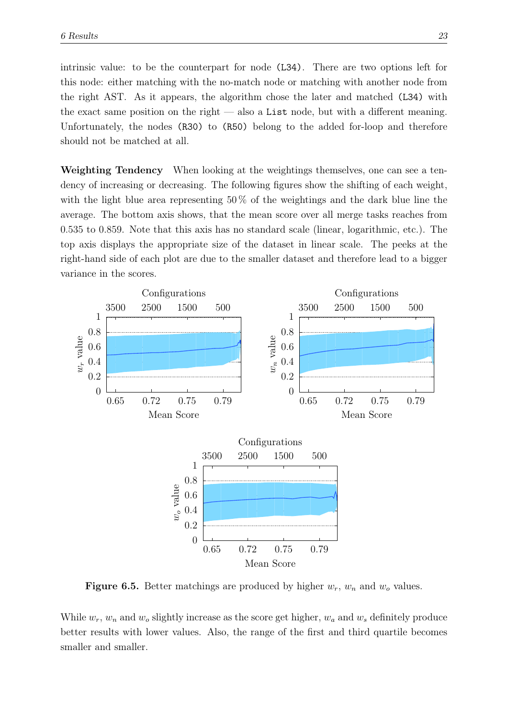intrinsic value: to be the counterpart for node (L34). There are two options left for this node: either matching with the no-match node or matching with another node from the right AST. As it appears, the algorithm chose the later and matched (L34) with the exact same position on the right — also a List node, but with a different meaning. Unfortunately, the nodes (R30) to (R50) belong to the added for-loop and therefore should not be matched at all.

Weighting Tendency When looking at the weightings themselves, one can see a tendency of increasing or decreasing. The following figures show the shifting of each weight, with the light blue area representing  $50\%$  of the weightings and the dark blue line the average. The bottom axis shows, that the mean score over all merge tasks reaches from 0.535 to 0.859. Note that this axis has no standard scale (linear, logarithmic, etc.). The top axis displays the appropriate size of the dataset in linear scale. The peeks at the right-hand side of each plot are due to the smaller dataset and therefore lead to a bigger variance in the scores.

<span id="page-31-0"></span>

**Figure 6.5.** Better matchings are produced by higher  $w_r$ ,  $w_n$  and  $w_o$  values.

While  $w_r$ ,  $w_n$  and  $w_o$  slightly increase as the score get higher,  $w_a$  and  $w_s$  definitely produce better results with lower values. Also, the range of the first and third quartile becomes smaller and smaller.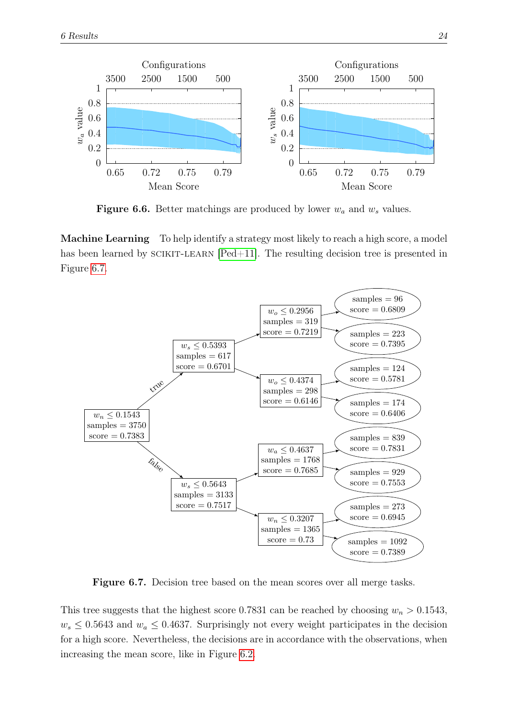<span id="page-32-0"></span>

Figure 6.6. Better matchings are produced by lower  $w_a$  and  $w_s$  values.

Machine Learning To help identify a strategy most likely to reach a high score, a model has been learned by  $SCIKIT-LEARN$   $[Ped+11]$ . The resulting decision tree is presented in Figure [6.7.](#page-32-1)

<span id="page-32-1"></span>

Figure 6.7. Decision tree based on the mean scores over all merge tasks.

This tree suggests that the highest score 0.7831 can be reached by choosing  $w_n > 0.1543$ ,  $w_s \leq 0.5643$  and  $w_a \leq 0.4637$ . Surprisingly not every weight participates in the decision for a high score. Nevertheless, the decisions are in accordance with the observations, when increasing the mean score, like in Figure [6.2.](#page-28-0)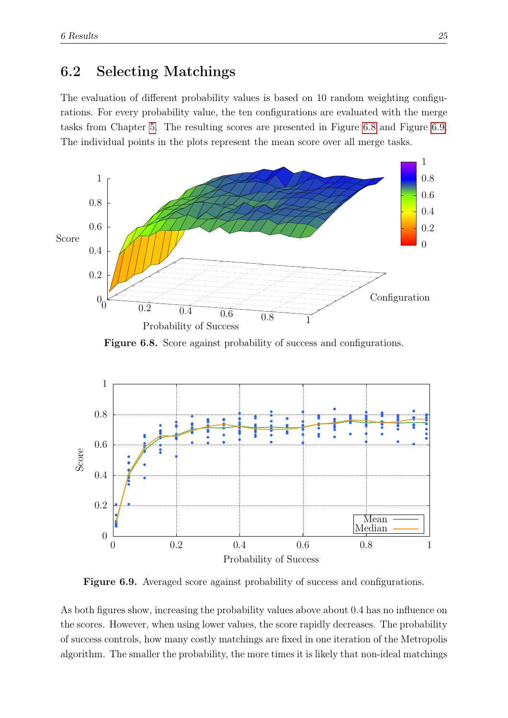#### <span id="page-33-0"></span>6.2 Selecting Matchings

The evaluation of different probability values is based on 10 random weighting configurations. For every probability value, the ten configurations are evaluated with the merge tasks from Chapter [5.](#page-22-0) The resulting scores are presented in Figure [6.8](#page-33-1) and Figure [6.9.](#page-33-2) The individual points in the plots represent the mean score over all merge tasks.

<span id="page-33-1"></span>

Figure 6.8. Score against probability of success and configurations.

<span id="page-33-2"></span>

Figure 6.9. Averaged score against probability of success and configurations.

As both figures show, increasing the probability values above about 0.4 has no influence on the scores. However, when using lower values, the score rapidly decreases. The probability of success controls, how many costly matchings are fixed in one iteration of the Metropolis algorithm. The smaller the probability, the more times it is likely that non-ideal matchings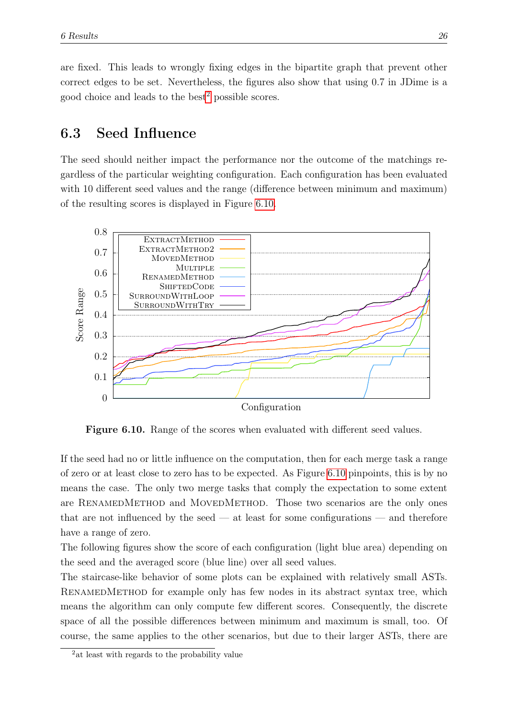are fixed. This leads to wrongly fixing edges in the bipartite graph that prevent other correct edges to be set. Nevertheless, the figures also show that using 0.7 in JDime is a good choice and leads to the best<sup>[2](#page-34-2)</sup> possible scores.

### <span id="page-34-0"></span>6.3 Seed Influence

The seed should neither impact the performance nor the outcome of the matchings regardless of the particular weighting configuration. Each configuration has been evaluated with 10 different seed values and the range (difference between minimum and maximum) of the resulting scores is displayed in Figure [6.10.](#page-34-1)

<span id="page-34-1"></span>

Figure 6.10. Range of the scores when evaluated with different seed values.

If the seed had no or little influence on the computation, then for each merge task a range of zero or at least close to zero has to be expected. As Figure [6.10](#page-34-1) pinpoints, this is by no means the case. The only two merge tasks that comply the expectation to some extent are RENAMEDMETHOD and MOVEDMETHOD. Those two scenarios are the only ones that are not influenced by the seed  $-$  at least for some configurations  $-$  and therefore have a range of zero.

The following figures show the score of each configuration (light blue area) depending on the seed and the averaged score (blue line) over all seed values.

The staircase-like behavior of some plots can be explained with relatively small ASTs. RENAMEDMETHOD for example only has few nodes in its abstract syntax tree, which means the algorithm can only compute few different scores. Consequently, the discrete space of all the possible differences between minimum and maximum is small, too. Of course, the same applies to the other scenarios, but due to their larger ASTs, there are

<span id="page-34-2"></span><sup>&</sup>lt;sup>2</sup> at least with regards to the probability value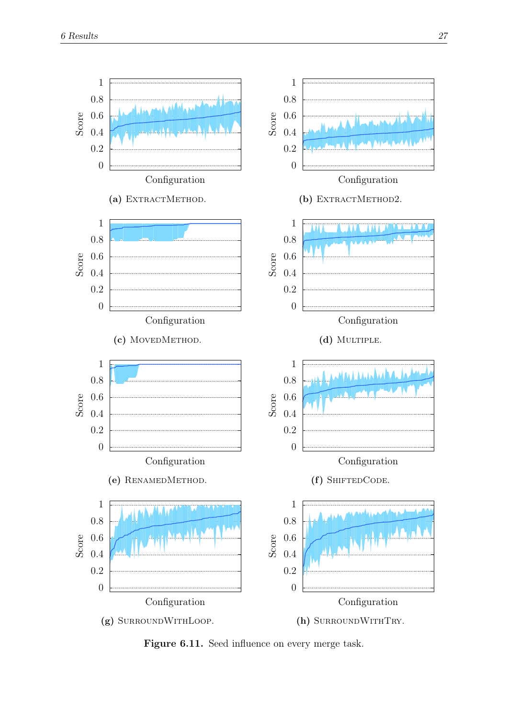<span id="page-35-0"></span>

Figure 6.11. Seed influence on every merge task.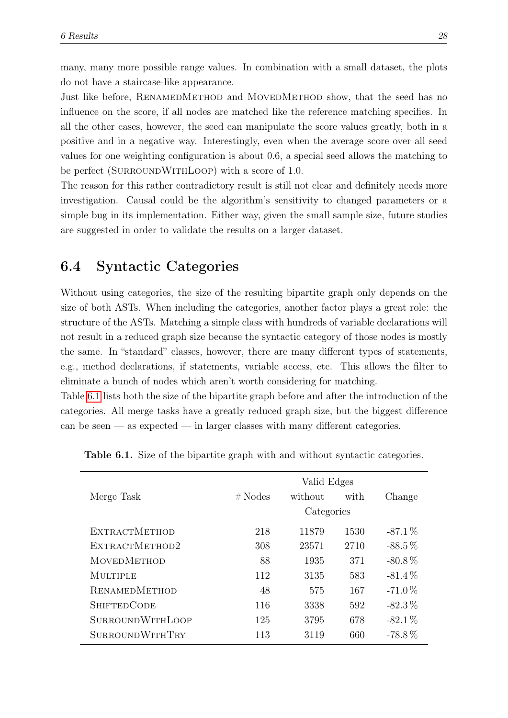many, many more possible range values. In combination with a small dataset, the plots do not have a staircase-like appearance.

Just like before, RENAMEDMETHOD and MOVEDMETHOD show, that the seed has no influence on the score, if all nodes are matched like the reference matching specifies. In all the other cases, however, the seed can manipulate the score values greatly, both in a positive and in a negative way. Interestingly, even when the average score over all seed values for one weighting configuration is about 0.6, a special seed allows the matching to be perfect (SURROUNDWITHLOOP) with a score of 1.0.

The reason for this rather contradictory result is still not clear and definitely needs more investigation. Causal could be the algorithm's sensitivity to changed parameters or a simple bug in its implementation. Either way, given the small sample size, future studies are suggested in order to validate the results on a larger dataset.

#### <span id="page-36-0"></span>6.4 Syntactic Categories

Without using categories, the size of the resulting bipartite graph only depends on the size of both ASTs. When including the categories, another factor plays a great role: the structure of the ASTs. Matching a simple class with hundreds of variable declarations will not result in a reduced graph size because the syntactic category of those nodes is mostly the same. In "standard" classes, however, there are many different types of statements, e.g., method declarations, if statements, variable access, etc. This allows the filter to eliminate a bunch of nodes which aren't worth considering for matching.

Table [6.1](#page-36-1) lists both the size of the bipartite graph before and after the introduction of the categories. All merge tasks have a greatly reduced graph size, but the biggest difference can be seen — as expected — in larger classes with many different categories.

| Merge Task              | #Nodes | Valid Edges<br>without | with | Change    |
|-------------------------|--------|------------------------|------|-----------|
|                         |        | Categories             |      |           |
| <b>EXTRACTMETHOD</b>    | 218    | 11879                  | 1530 | $-87.1\%$ |
| EXTRACTMETHOD2          | 308    | 23571                  | 2710 | $-88.5\%$ |
| <b>MOVEDMETHOD</b>      | 88     | 1935                   | 371  | $-80.8\%$ |
| <b>MULTIPLE</b>         | 112    | 3135                   | 583  | $-81.4\%$ |
| <b>RENAMEDMETHOD</b>    | 48     | 575                    | 167  | $-71.0\%$ |
| <b>SHIFTEDCODE</b>      | 116    | 3338                   | 592  | $-82.3\%$ |
| <b>SURROUNDWITHLOOP</b> | 125    | 3795                   | 678  | $-82.1\%$ |
| <b>SURROUNDWITHTRY</b>  | 113    | 3119                   | 660  | $-78.8\%$ |

<span id="page-36-1"></span>Table 6.1. Size of the bipartite graph with and without syntactic categories.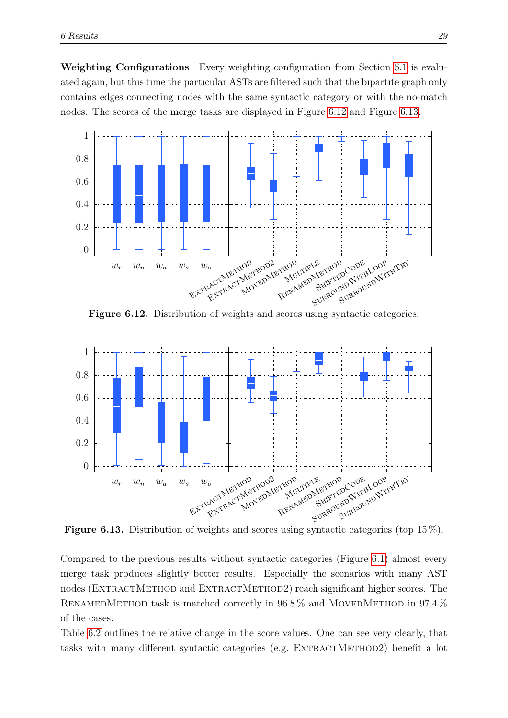Weighting Configurations Every weighting configuration from Section [6.1](#page-27-1) is evaluated again, but this time the particular ASTs are filtered such that the bipartite graph only contains edges connecting nodes with the same syntactic category or with the no-match nodes. The scores of the merge tasks are displayed in Figure [6.12](#page-37-0) and Figure [6.13.](#page-37-1)

<span id="page-37-0"></span>

Figure 6.12. Distribution of weights and scores using syntactic categories.

<span id="page-37-1"></span>

**Figure 6.13.** Distribution of weights and scores using syntactic categories (top  $15\%$ ).

Compared to the previous results without syntactic categories (Figure [6.1\)](#page-27-2) almost every merge task produces slightly better results. Especially the scenarios with many AST nodes (EXTRACTMETHOD and EXTRACTMETHOD2) reach significant higher scores. The RENAMEDMETHOD task is matched correctly in  $96.8\%$  and MOVEDMETHOD in  $97.4\%$ of the cases.

Table [6.2](#page-38-1) outlines the relative change in the score values. One can see very clearly, that tasks with many different syntactic categories (e.g. EXTRACTMETHOD2) benefit a lot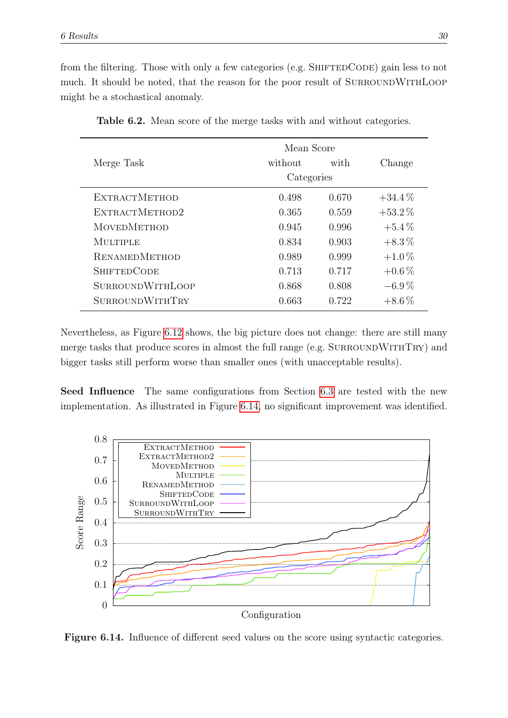from the filtering. Those with only a few categories (e.g. SHIFTEDCODE) gain less to not much. It should be noted, that the reason for the poor result of SURROUNDWITHLOOP might be a stochastical anomaly.

<span id="page-38-1"></span>

|                         | Mean Score |       |           |
|-------------------------|------------|-------|-----------|
| Merge Task              | without    | with  | Change    |
|                         | Categories |       |           |
| <b>EXTRACTMETHOD</b>    | 0.498      | 0.670 | $+34.4\%$ |
| EXTRACTMETHOD2          | 0.365      | 0.559 | $+53.2\%$ |
| <b>MOVEDMETHOD</b>      | 0.945      | 0.996 | $+5.4\%$  |
| MULTIPLE                | 0.834      | 0.903 | $+8.3\%$  |
| <b>RENAMEDMETHOD</b>    | 0.989      | 0.999 | $+1.0\%$  |
| <b>SHIFTEDCODE</b>      | 0.713      | 0.717 | $+0.6\%$  |
| <b>SURROUNDWITHLOOP</b> | 0.868      | 0.808 | $-6.9\%$  |
| <b>SURROUNDWITHTRY</b>  | 0.663      | 0.722 | $+8.6\%$  |

Table 6.2. Mean score of the merge tasks with and without categories.

Nevertheless, as Figure [6.12](#page-37-0) shows, the big picture does not change: there are still many merge tasks that produce scores in almost the full range (e.g. SURROUNDWITHTRY) and bigger tasks still perform worse than smaller ones (with unacceptable results).

Seed Influence The same configurations from Section [6.3](#page-34-0) are tested with the new implementation. As illustrated in Figure [6.14,](#page-38-0) no significant improvement was identified.

<span id="page-38-0"></span>

Figure 6.14. Influence of different seed values on the score using syntactic categories.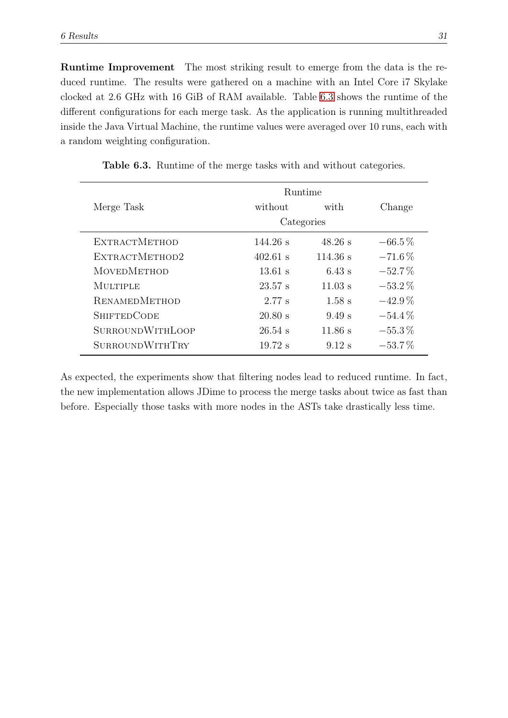Runtime Improvement The most striking result to emerge from the data is the reduced runtime. The results were gathered on a machine with an Intel Core i7 Skylake clocked at 2.6 GHz with 16 GiB of RAM available. Table [6.3](#page-39-0) shows the runtime of the different configurations for each merge task. As the application is running multithreaded inside the Java Virtual Machine, the runtime values were averaged over 10 runs, each with a random weighting configuration.

<span id="page-39-0"></span>

|                         |            | <b>Runtime</b> |           |
|-------------------------|------------|----------------|-----------|
| Merge Task              | without    | with           | Change    |
|                         |            | Categories     |           |
| <b>EXTRACTMETHOD</b>    | $144.26$ s | $48.26$ s      | $-66.5\%$ |
| EXTRACTMETHOD2          | $402.61$ s | 114.36 s       | $-71.6\%$ |
| <b>MOVEDMETHOD</b>      | $13.61$ s  | $6.43$ s       | $-52.7\%$ |
| <b>MULTIPLE</b>         | 23.57 s    | $11.03$ s      | $-53.2\%$ |
| <b>RENAMEDMETHOD</b>    | 2.77 s     | $1.58$ s       | $-42.9\%$ |
| <b>SHIFTEDCODE</b>      | 20.80 s    | 9.49 s         | $-54.4\%$ |
| <b>SURROUNDWITHLOOP</b> | $26.54$ s  | $11.86$ s      | $-55.3\%$ |
| <b>SURROUNDWITHTRY</b>  | $19.72$ s  | $9.12$ s       | $-53.7\%$ |

Table 6.3. Runtime of the merge tasks with and without categories.

As expected, the experiments show that filtering nodes lead to reduced runtime. In fact, the new implementation allows JDime to process the merge tasks about twice as fast than before. Especially those tasks with more nodes in the ASTs take drastically less time.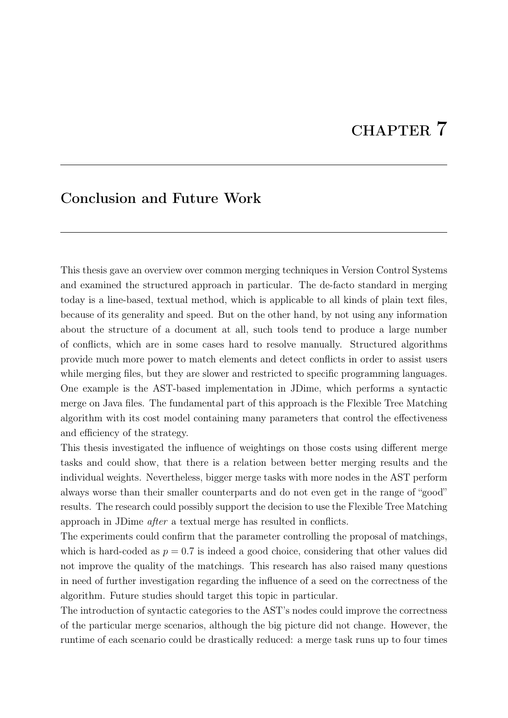# CHAPTER 7

#### <span id="page-40-0"></span>Conclusion and Future Work

This thesis gave an overview over common merging techniques in Version Control Systems and examined the structured approach in particular. The de-facto standard in merging today is a line-based, textual method, which is applicable to all kinds of plain text files, because of its generality and speed. But on the other hand, by not using any information about the structure of a document at all, such tools tend to produce a large number of conflicts, which are in some cases hard to resolve manually. Structured algorithms provide much more power to match elements and detect conflicts in order to assist users while merging files, but they are slower and restricted to specific programming languages. One example is the AST-based implementation in JDime, which performs a syntactic merge on Java files. The fundamental part of this approach is the Flexible Tree Matching algorithm with its cost model containing many parameters that control the effectiveness and efficiency of the strategy.

This thesis investigated the influence of weightings on those costs using different merge tasks and could show, that there is a relation between better merging results and the individual weights. Nevertheless, bigger merge tasks with more nodes in the AST perform always worse than their smaller counterparts and do not even get in the range of "good" results. The research could possibly support the decision to use the Flexible Tree Matching approach in JDime after a textual merge has resulted in conflicts.

The experiments could confirm that the parameter controlling the proposal of matchings, which is hard-coded as  $p = 0.7$  is indeed a good choice, considering that other values did not improve the quality of the matchings. This research has also raised many questions in need of further investigation regarding the influence of a seed on the correctness of the algorithm. Future studies should target this topic in particular.

The introduction of syntactic categories to the AST's nodes could improve the correctness of the particular merge scenarios, although the big picture did not change. However, the runtime of each scenario could be drastically reduced: a merge task runs up to four times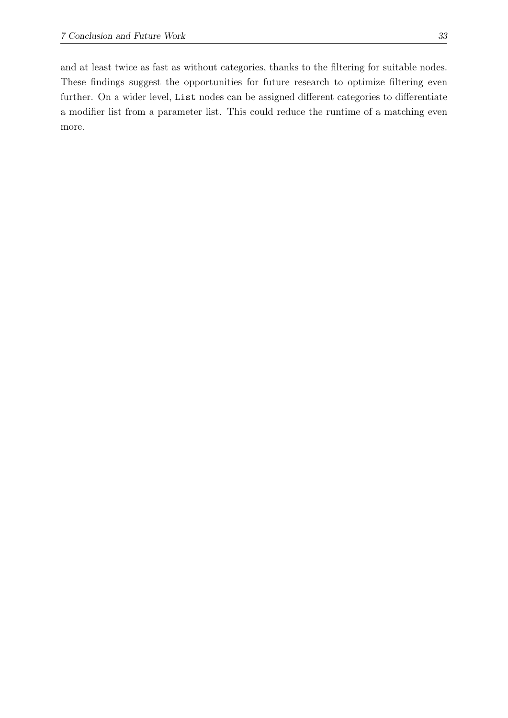and at least twice as fast as without categories, thanks to the filtering for suitable nodes. These findings suggest the opportunities for future research to optimize filtering even further. On a wider level, List nodes can be assigned different categories to differentiate a modifier list from a parameter list. This could reduce the runtime of a matching even more.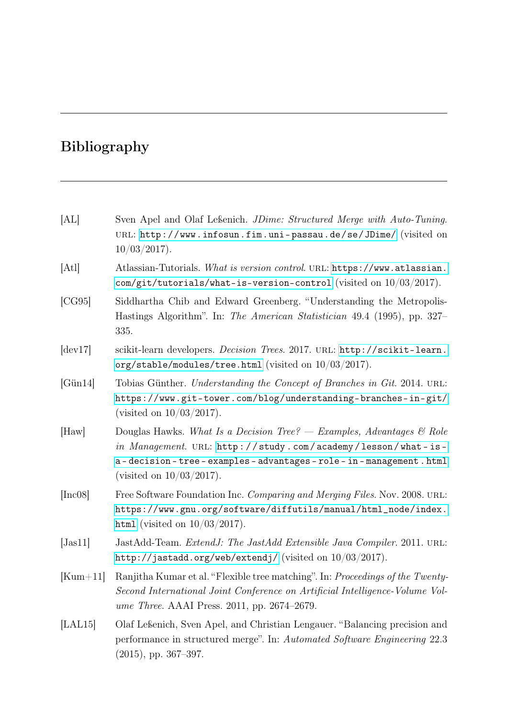# Bibliography

<span id="page-42-7"></span><span id="page-42-6"></span><span id="page-42-5"></span><span id="page-42-4"></span><span id="page-42-3"></span><span id="page-42-2"></span><span id="page-42-1"></span><span id="page-42-0"></span>

| [AL]                 | Sven Apel and Olaf Leßenich. JDime: Structured Merge with Auto-Tuning.<br>URL: http://www.infosun.fim.uni-passau.de/se/JDime/ (visited on<br>$10/03/2017$ .                                                                         |
|----------------------|-------------------------------------------------------------------------------------------------------------------------------------------------------------------------------------------------------------------------------------|
| [At]                 | Atlassian-Tutorials. What is version control. URL: https://www.atlassian.<br>com/git/tutorials/what-is-version-control (visited on $10/03/2017$ ).                                                                                  |
| [CG95]               | Siddhartha Chib and Edward Greenberg. "Understanding the Metropolis-<br>Hastings Algorithm". In: The American Statistician 49.4 (1995), pp. 327–<br>335.                                                                            |
| $\left[dev17\right]$ | scikit-learn developers. Decision Trees. 2017. URL: http://scikit-learn.<br>org/stable/modules/tree.html (visited on $10/03/2017$ ).                                                                                                |
| $[G\ddot{u}n14]$     | Tobias Günther. Understanding the Concept of Branches in Git. 2014. URL:<br>https://www.git-tower.com/blog/understanding-branches-in-git/<br>(visited on $10/03/2017$ ).                                                            |
| $[$ Haw $]$          | Douglas Hawks. What Is a Decision Tree? - Examples, Advantages & Role<br>in Management. URL: http://study.com/academy/lesson/what-is-<br>a-decision-tree-examples-advantages-role-in-management.html<br>(visited on $10/03/2017$ ). |
| [Inc08]              | Free Software Foundation Inc. Comparing and Merging Files. Nov. 2008. URL:<br>https://www.gnu.org/software/diffutils/manual/html_node/index.<br>html (visited on $10/03/2017$ ).                                                    |
| [ <i>Just1</i> ]     | JastAdd-Team. ExtendJ: The JastAdd Extensible Java Compiler. 2011. URL:<br>http://jastadd.org/web/extendj/ (visited on $10/03/2017$ ).                                                                                              |
| $[Kum+11]$           | Ranjitha Kumar et al. "Flexible tree matching". In: Proceedings of the Twenty-<br>Second International Joint Conference on Artificial Intelligence-Volume Vol-<br><i>ume Three.</i> AAAI Press. 2011, pp. 2674–2679.                |
| [ <b>LAL15</b> ]     | Olaf Leßenich, Sven Apel, and Christian Lengauer. "Balancing precision and<br>performance in structured merge". In: Automated Software Engineering 22.3<br>$(2015)$ , pp. 367–397.                                                  |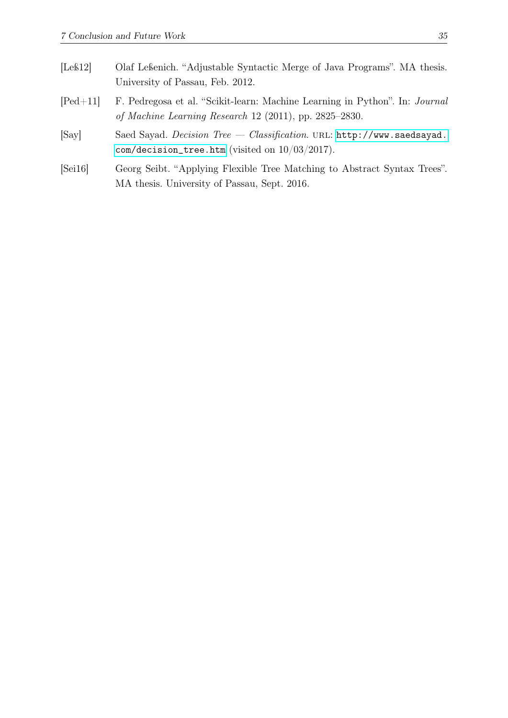- <span id="page-43-1"></span>[Leß12] Olaf Leßenich. "Adjustable Syntactic Merge of Java Programs". MA thesis. University of Passau, Feb. 2012.
- <span id="page-43-3"></span>[Ped+11] F. Pedregosa et al. "Scikit-learn: Machine Learning in Python". In: Journal of Machine Learning Research 12 (2011), pp. 2825–2830.
- <span id="page-43-2"></span>[Say] Saed Sayad. Decision Tree — Classification. url: [http://www.saedsayad.](http://www.saedsayad.com/decision_tree.htm) [com/decision\\_tree.htm](http://www.saedsayad.com/decision_tree.htm) (visited on 10/03/2017).
- <span id="page-43-0"></span>[Sei16] Georg Seibt. "Applying Flexible Tree Matching to Abstract Syntax Trees". MA thesis. University of Passau, Sept. 2016.